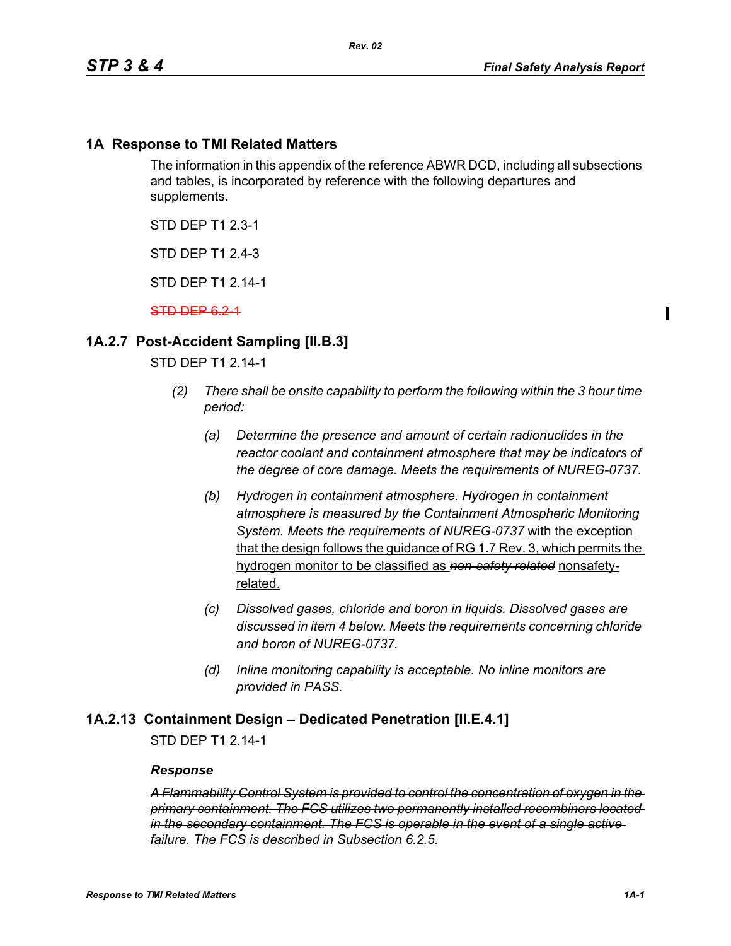## **1A Response to TMI Related Matters**

The information in this appendix of the reference ABWR DCD, including all subsections and tables, is incorporated by reference with the following departures and supplements.

STD DEP T1 2.3-1

STD DEP T1 2.4-3

STD DEP T1 2.14-1

STD DEP 6.2-1

## **1A.2.7 Post-Accident Sampling [II.B.3]**

STD DEP T1 2.14-1

- *(2) There shall be onsite capability to perform the following within the 3 hour time period:*
	- *(a) Determine the presence and amount of certain radionuclides in the reactor coolant and containment atmosphere that may be indicators of the degree of core damage. Meets the requirements of NUREG-0737.*
	- *(b) Hydrogen in containment atmosphere. Hydrogen in containment atmosphere is measured by the Containment Atmospheric Monitoring System. Meets the requirements of NUREG-0737* with the exception that the design follows the guidance of RG 1.7 Rev. 3, which permits the hydrogen monitor to be classified as *non-safety related* nonsafetyrelated.
	- *(c) Dissolved gases, chloride and boron in liquids. Dissolved gases are discussed in item 4 below. Meets the requirements concerning chloride and boron of NUREG-0737.*
	- *(d) Inline monitoring capability is acceptable. No inline monitors are provided in PASS.*

#### **1A.2.13 Containment Design – Dedicated Penetration [II.E.4.1]**

STD DEP T1 2.14-1

#### *Response*

*A Flammability Control System is provided to control the concentration of oxygen in the primary containment. The FCS utilizes two permanently installed recombiners located in the secondary containment. The FCS is operable in the event of a single active failure. The FCS is described in Subsection 6.2.5.*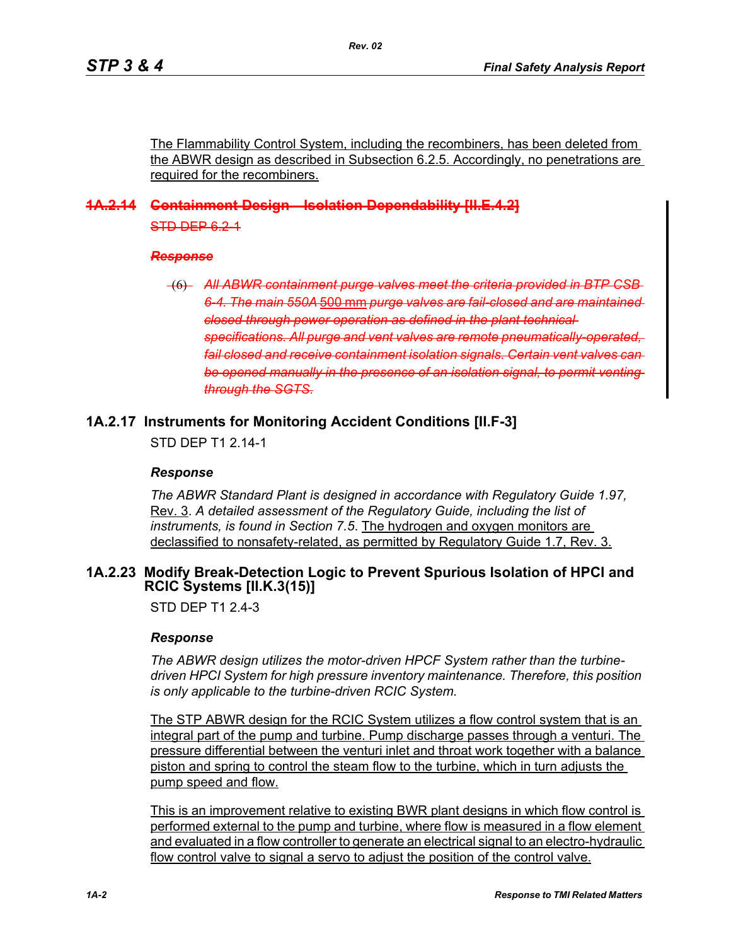The Flammability Control System, including the recombiners, has been deleted from the ABWR design as described in Subsection 6.2.5. Accordingly, no penetrations are required for the recombiners.

# **1A.2.14 Containment Design—Isolation Dependability [II.E.4.2]** STD DEP 6.2-1

#### *Response*

(6) All ABWR containment purge valves meet the criteria provided in BTP *6-4. The main 550A* 500 mm *purge valves are fail-closed and are maintained closed through power operation as defined in the plant technical specifications. All purge and vent valves are remote pneumatically-operated, fail closed and receive containment isolation signals. Certain vent valves can*  be opened manually in the presence of an isolation signal, to permit venting *through the SGTS*.

## **1A.2.17 Instruments for Monitoring Accident Conditions [II.F-3]**

STD DFP T1 2 14-1

## *Response*

*The ABWR Standard Plant is designed in accordance with Regulatory Guide 1.97,* Rev. 3. *A detailed assessment of the Regulatory Guide, including the list of instruments, is found in Section 7.5*. The hydrogen and oxygen monitors are declassified to nonsafety-related, as permitted by Regulatory Guide 1.7, Rev. 3.

## <span id="page-1-0"></span>**1A.2.23 Modify Break-Detection Logic to Prevent Spurious Isolation of HPCI and RCIC Systems [II.K.3(15)]**

STD DFP T1 2 4-3

#### *Response*

*The ABWR design utilizes the motor-driven HPCF System rather than the turbinedriven HPCI System for high pressure inventory maintenance. Therefore, this position is only applicable to the turbine-driven RCIC System.*

The STP ABWR design for the RCIC System utilizes a flow control system that is an integral part of the pump and turbine. Pump discharge passes through a venturi. The pressure differential between the venturi inlet and throat work together with a balance piston and spring to control the steam flow to the turbine, which in turn adjusts the pump speed and flow.

This is an improvement relative to existing BWR plant designs in which flow control is performed external to the pump and turbine, where flow is measured in a flow element and evaluated in a flow controller to generate an electrical signal to an electro-hydraulic flow control valve to signal a servo to adjust the position of the control valve.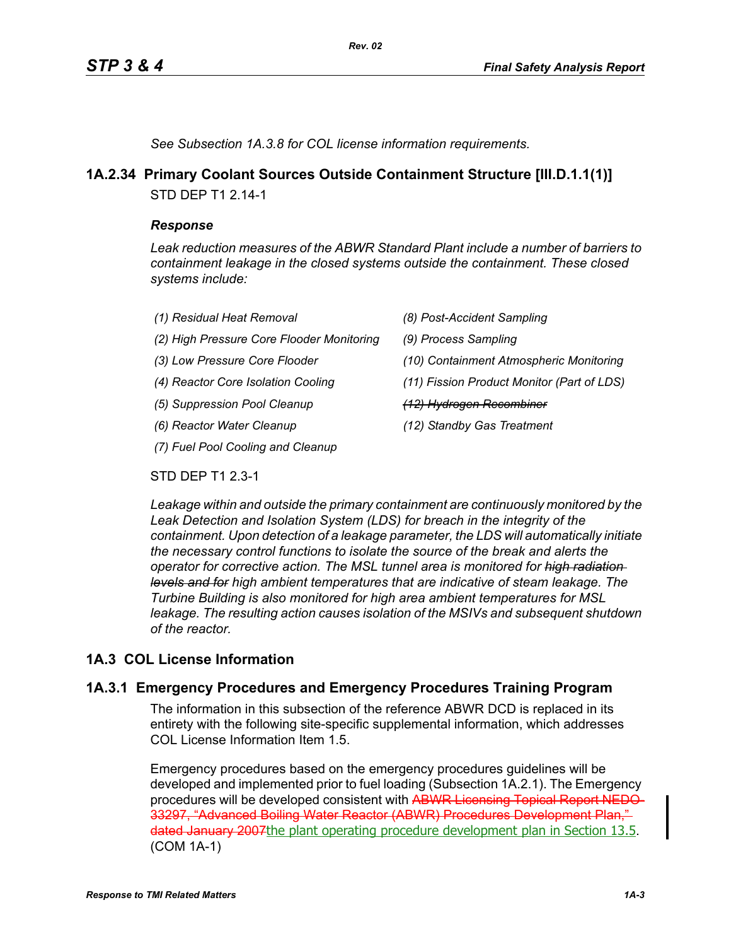*See Subsection 1A.3.8 for COL license information requirements.*

# **1A.2.34 Primary Coolant Sources Outside Containment Structure [III.D.1.1(1)]**

*Rev. 02*

STD DEP T1 2.14-1

#### *Response*

*Leak reduction measures of the ABWR Standard Plant include a number of barriers to containment leakage in the closed systems outside the containment. These closed systems include:*

| (1) Residual Heat Removal                 | (8) Post-Accident Sampling                 |
|-------------------------------------------|--------------------------------------------|
| (2) High Pressure Core Flooder Monitoring | (9) Process Sampling                       |
| (3) Low Pressure Core Flooder             | (10) Containment Atmospheric Monitoring    |
| (4) Reactor Core Isolation Cooling        | (11) Fission Product Monitor (Part of LDS) |
| (5) Suppression Pool Cleanup              | (12) Hydrogen Recombiner                   |
| (6) Reactor Water Cleanup                 | (12) Standby Gas Treatment                 |
| (7) Fuel Pool Cooling and Cleanup         |                                            |

STD DEP T1 2.3-1

*Leakage within and outside the primary containment are continuously monitored by the Leak Detection and Isolation System (LDS) for breach in the integrity of the containment. Upon detection of a leakage parameter, the LDS will automatically initiate the necessary control functions to isolate the source of the break and alerts the operator for corrective action. The MSL tunnel area is monitored for high radiation levels and for high ambient temperatures that are indicative of steam leakage. The Turbine Building is also monitored for high area ambient temperatures for MSL leakage. The resulting action causes isolation of the MSIVs and subsequent shutdown of the reactor.*

# **1A.3 COL License Information**

## **1A.3.1 Emergency Procedures and Emergency Procedures Training Program**

The information in this subsection of the reference ABWR DCD is replaced in its entirety with the following site-specific supplemental information, which addresses COL License Information Item 1.5.

Emergency procedures based on the emergency procedures guidelines will be developed and implemented prior to fuel loading (Subsection 1A.2.1). The Emergency procedures will be developed consistent with ABWR Licensing Topical Report NEDO-33297, "Advanced Boiling Water Reactor (ABWR) Procedures Development Plan," dated January 2007 the plant operating procedure development plan in Section 13.5. (COM 1A-1)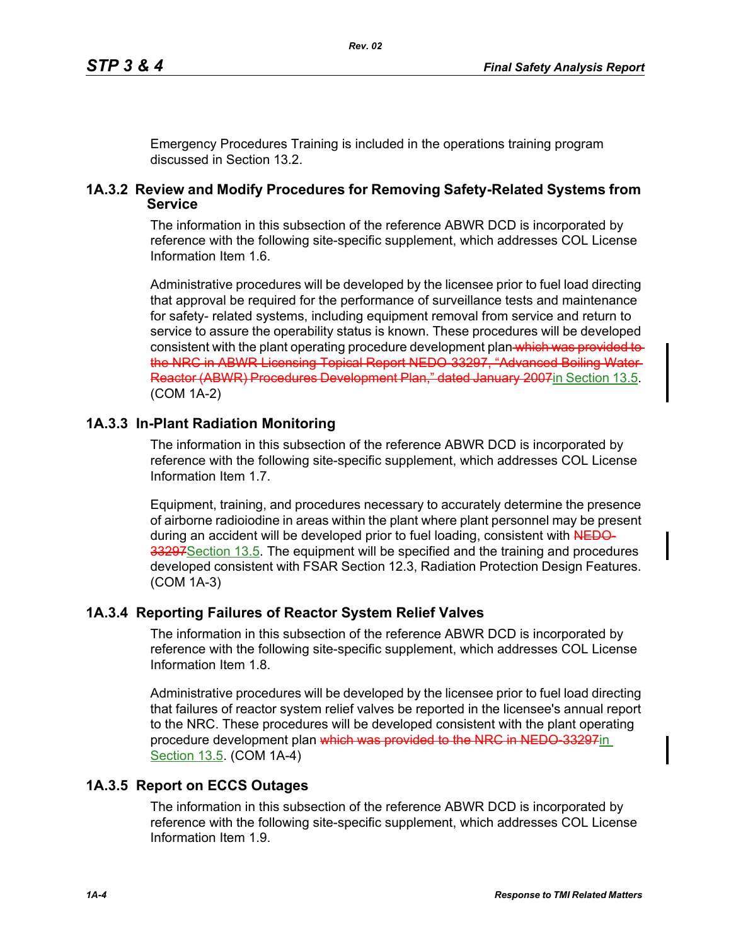Emergency Procedures Training is included in the operations training program discussed in Section 13.2.

#### **1A.3.2 Review and Modify Procedures for Removing Safety-Related Systems from Service**

The information in this subsection of the reference ABWR DCD is incorporated by reference with the following site-specific supplement, which addresses COL License Information Item 1.6.

Administrative procedures will be developed by the licensee prior to fuel load directing that approval be required for the performance of surveillance tests and maintenance for safety- related systems, including equipment removal from service and return to service to assure the operability status is known. These procedures will be developed consistent with the plant operating procedure development plan which was provided to the NRC in ABWR Licensing Topical Report NEDO-33297, "Advanced Boiling Water Reactor (ABWR) Procedures Development Plan," dated January 2007 in Section 13.5. (COM 1A-2)

# **1A.3.3 In-Plant Radiation Monitoring**

The information in this subsection of the reference ABWR DCD is incorporated by reference with the following site-specific supplement, which addresses COL License Information Item 1.7.

Equipment, training, and procedures necessary to accurately determine the presence of airborne radioiodine in areas within the plant where plant personnel may be present during an accident will be developed prior to fuel loading, consistent with NEDO-33297 Section 13.5. The equipment will be specified and the training and procedures developed consistent with FSAR Section 12.3, Radiation Protection Design Features. (COM 1A-3)

## **1A.3.4 Reporting Failures of Reactor System Relief Valves**

The information in this subsection of the reference ABWR DCD is incorporated by reference with the following site-specific supplement, which addresses COL License Information Item 1.8.

Administrative procedures will be developed by the licensee prior to fuel load directing that failures of reactor system relief valves be reported in the licensee's annual report to the NRC. These procedures will be developed consistent with the plant operating procedure development plan which was provided to the NRC in NEDO 33297in Section 13.5. (COM 1A-4)

## **1A.3.5 Report on ECCS Outages**

The information in this subsection of the reference ABWR DCD is incorporated by reference with the following site-specific supplement, which addresses COL License Information Item 1.9.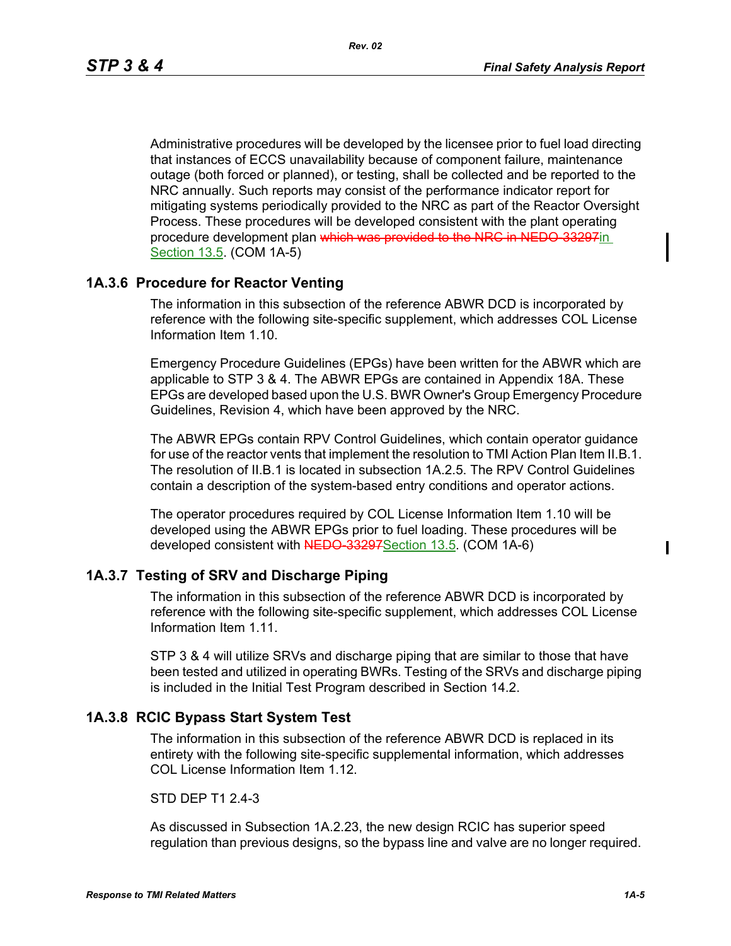Administrative procedures will be developed by the licensee prior to fuel load directing that instances of ECCS unavailability because of component failure, maintenance outage (both forced or planned), or testing, shall be collected and be reported to the NRC annually. Such reports may consist of the performance indicator report for mitigating systems periodically provided to the NRC as part of the Reactor Oversight Process. These procedures will be developed consistent with the plant operating procedure development plan which was provided to the NRC in NEDO 33297in Section 13.5. (COM 1A-5)

## **1A.3.6 Procedure for Reactor Venting**

The information in this subsection of the reference ABWR DCD is incorporated by reference with the following site-specific supplement, which addresses COL License Information Item 1.10.

Emergency Procedure Guidelines (EPGs) have been written for the ABWR which are applicable to STP 3 & 4. The ABWR EPGs are contained in Appendix 18A. These EPGs are developed based upon the U.S. BWR Owner's Group Emergency Procedure Guidelines, Revision 4, which have been approved by the NRC.

The ABWR EPGs contain RPV Control Guidelines, which contain operator guidance for use of the reactor vents that implement the resolution to TMI Action Plan Item II.B.1. The resolution of II.B.1 is located in subsection 1A.2.5. The RPV Control Guidelines contain a description of the system-based entry conditions and operator actions.

The operator procedures required by COL License Information Item 1.10 will be developed using the ABWR EPGs prior to fuel loading. These procedures will be developed consistent with NEDO 33297 Section 13.5. (COM 1A-6)

#### **1A.3.7 Testing of SRV and Discharge Piping**

The information in this subsection of the reference ABWR DCD is incorporated by reference with the following site-specific supplement, which addresses COL License Information Item 1.11.

STP 3 & 4 will utilize SRVs and discharge piping that are similar to those that have been tested and utilized in operating BWRs. Testing of the SRVs and discharge piping is included in the Initial Test Program described in Section 14.2.

#### **1A.3.8 RCIC Bypass Start System Test**

The information in this subsection of the reference ABWR DCD is replaced in its entirety with the following site-specific supplemental information, which addresses COL License Information Item 1.12.

STD DFP T1 2 4-3

As discussed in Subsection [1A.2.23,](#page-1-0) the new design RCIC has superior speed regulation than previous designs, so the bypass line and valve are no longer required.  $\mathbf I$